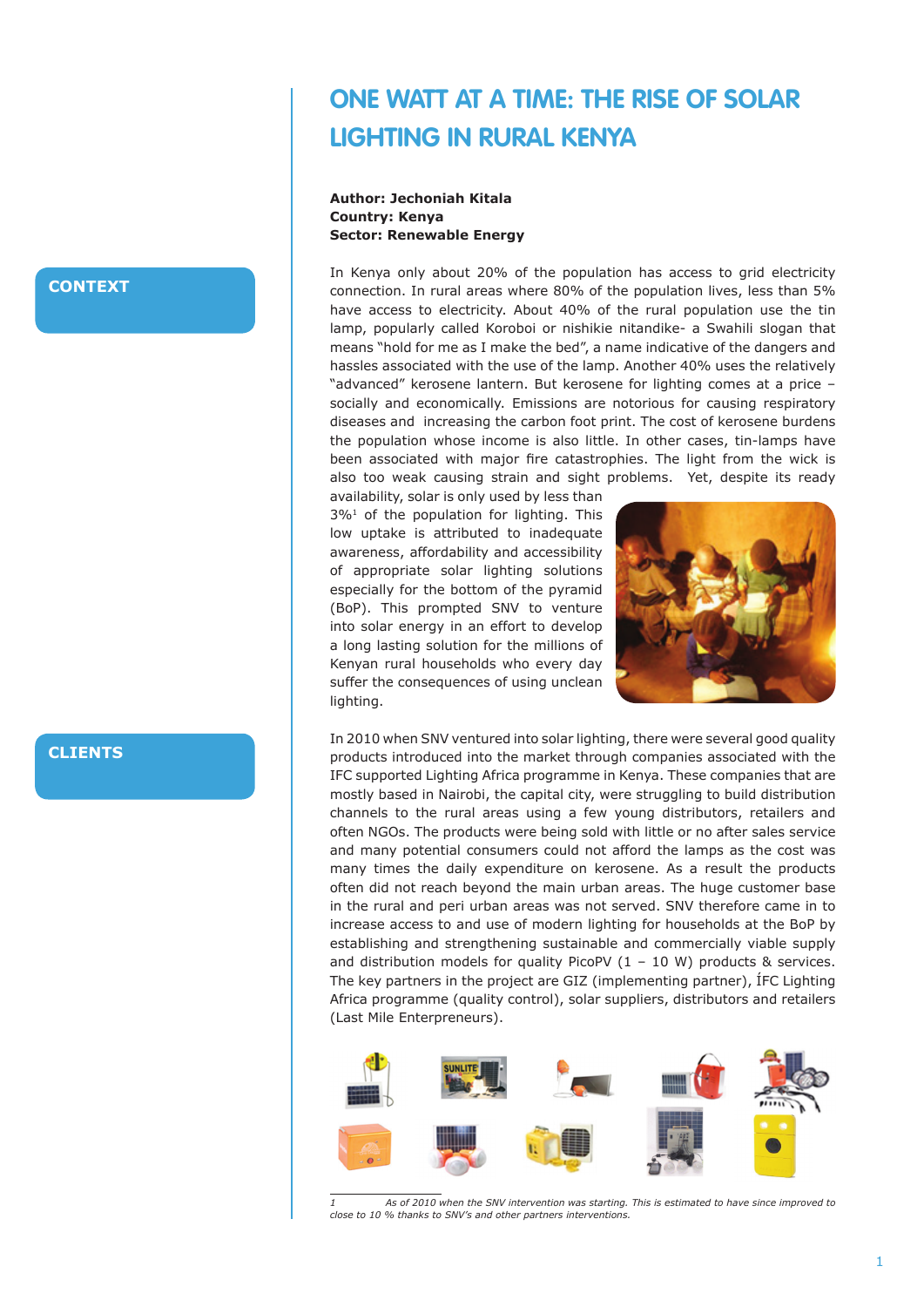# **One Watt at a Time: The Rise of Solar Lighting in Rural Kenya**

**Author: Jechoniah Kitala Country: Kenya Sector: Renewable Energy**

In Kenya only about 20% of the population has access to grid electricity connection. In rural areas where 80% of the population lives, less than 5% have access to electricity. About 40% of the rural population use the tin lamp, popularly called Koroboi or nishikie nitandike- a Swahili slogan that means "hold for me as I make the bed", a name indicative of the dangers and hassles associated with the use of the lamp. Another 40% uses the relatively "advanced" kerosene lantern. But kerosene for lighting comes at a price – socially and economically. Emissions are notorious for causing respiratory diseases and increasing the carbon foot print. The cost of kerosene burdens the population whose income is also little. In other cases, tin-lamps have been associated with major fire catastrophies. The light from the wick is also too weak causing strain and sight problems. Yet, despite its ready

availability, solar is only used by less than 3%1 of the population for lighting. This low uptake is attributed to inadequate awareness, affordability and accessibility of appropriate solar lighting solutions especially for the bottom of the pyramid (BoP). This prompted SNV to venture into solar energy in an effort to develop a long lasting solution for the millions of Kenyan rural households who every day suffer the consequences of using unclean lighting.



In 2010 when SNV ventured into solar lighting, there were several good quality products introduced into the market through companies associated with the IFC supported Lighting Africa programme in Kenya. These companies that are mostly based in Nairobi, the capital city, were struggling to build distribution channels to the rural areas using a few young distributors, retailers and often NGOs. The products were being sold with little or no after sales service and many potential consumers could not afford the lamps as the cost was many times the daily expenditure on kerosene. As a result the products often did not reach beyond the main urban areas. The huge customer base in the rural and peri urban areas was not served. SNV therefore came in to increase access to and use of modern lighting for households at the BoP by establishing and strengthening sustainable and commercially viable supply and distribution models for quality PicoPV  $(1 - 10 W)$  products & services. The key partners in the project are GIZ (implementing partner), ÍFC Lighting Africa programme (quality control), solar suppliers, distributors and retailers (Last Mile Enterpreneurs).



*<sup>1</sup> As of 2010 when the SNV intervention was starting. This is estimated to have since improved to close to 10 % thanks to SNV's and other partners interventions.*

### **CONTEXT**

**CLIENTS**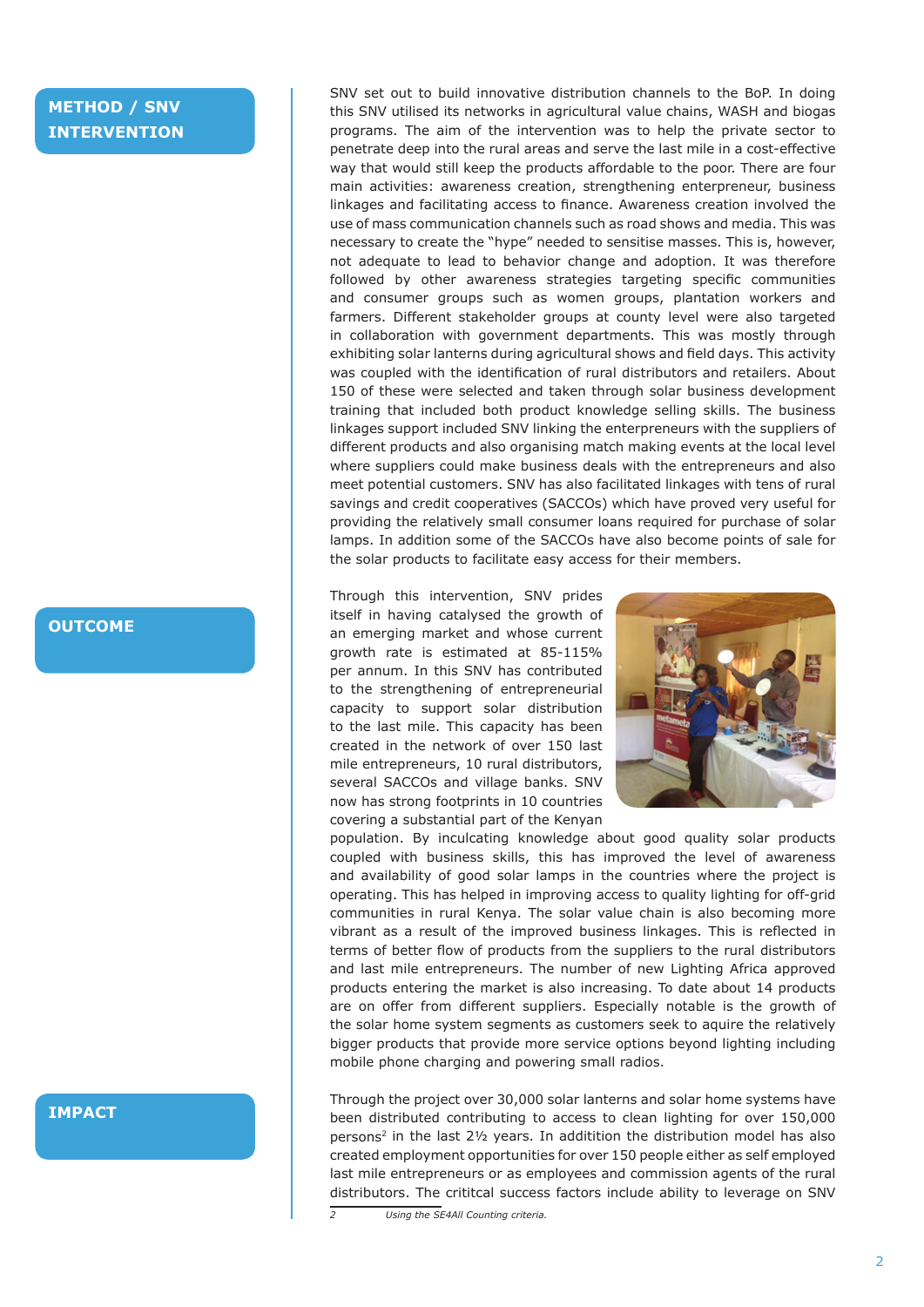# **METHOD / SNV INTERVENTION**

#### **OUTCOME**

#### **IMPACT**

SNV set out to build innovative distribution channels to the BoP. In doing this SNV utilised its networks in agricultural value chains, WASH and biogas programs. The aim of the intervention was to help the private sector to penetrate deep into the rural areas and serve the last mile in a cost-effective way that would still keep the products affordable to the poor. There are four main activities: awareness creation, strengthening enterpreneur, business linkages and facilitating access to finance. Awareness creation involved the use of mass communication channels such as road shows and media. This was necessary to create the "hype" needed to sensitise masses. This is, however, not adequate to lead to behavior change and adoption. It was therefore followed by other awareness strategies targeting specific communities and consumer groups such as women groups, plantation workers and farmers. Different stakeholder groups at county level were also targeted in collaboration with government departments. This was mostly through exhibiting solar lanterns during agricultural shows and field days. This activity was coupled with the identification of rural distributors and retailers. About 150 of these were selected and taken through solar business development training that included both product knowledge selling skills. The business linkages support included SNV linking the enterpreneurs with the suppliers of different products and also organising match making events at the local level where suppliers could make business deals with the entrepreneurs and also meet potential customers. SNV has also facilitated linkages with tens of rural savings and credit cooperatives (SACCOs) which have proved very useful for providing the relatively small consumer loans required for purchase of solar lamps. In addition some of the SACCOs have also become points of sale for the solar products to facilitate easy access for their members.

Through this intervention, SNV prides itself in having catalysed the growth of an emerging market and whose current growth rate is estimated at 85-115% per annum. In this SNV has contributed to the strengthening of entrepreneurial capacity to support solar distribution to the last mile. This capacity has been created in the network of over 150 last mile entrepreneurs, 10 rural distributors, several SACCOs and village banks. SNV now has strong footprints in 10 countries covering a substantial part of the Kenyan



population. By inculcating knowledge about good quality solar products coupled with business skills, this has improved the level of awareness and availability of good solar lamps in the countries where the project is operating. This has helped in improving access to quality lighting for off-grid communities in rural Kenya. The solar value chain is also becoming more vibrant as a result of the improved business linkages. This is reflected in terms of better flow of products from the suppliers to the rural distributors and last mile entrepreneurs. The number of new Lighting Africa approved products entering the market is also increasing. To date about 14 products are on offer from different suppliers. Especially notable is the growth of the solar home system segments as customers seek to aquire the relatively bigger products that provide more service options beyond lighting including mobile phone charging and powering small radios.

Through the project over 30,000 solar lanterns and solar home systems have been distributed contributing to access to clean lighting for over 150,000 persons<sup>2</sup> in the last  $2\frac{1}{2}$  years. In additition the distribution model has also created employment opportunities for over 150 people either as self employed last mile entrepreneurs or as employees and commission agents of the rural distributors. The crititcal success factors include ability to leverage on SNV

*<sup>2</sup> Using the SE4All Counting criteria.*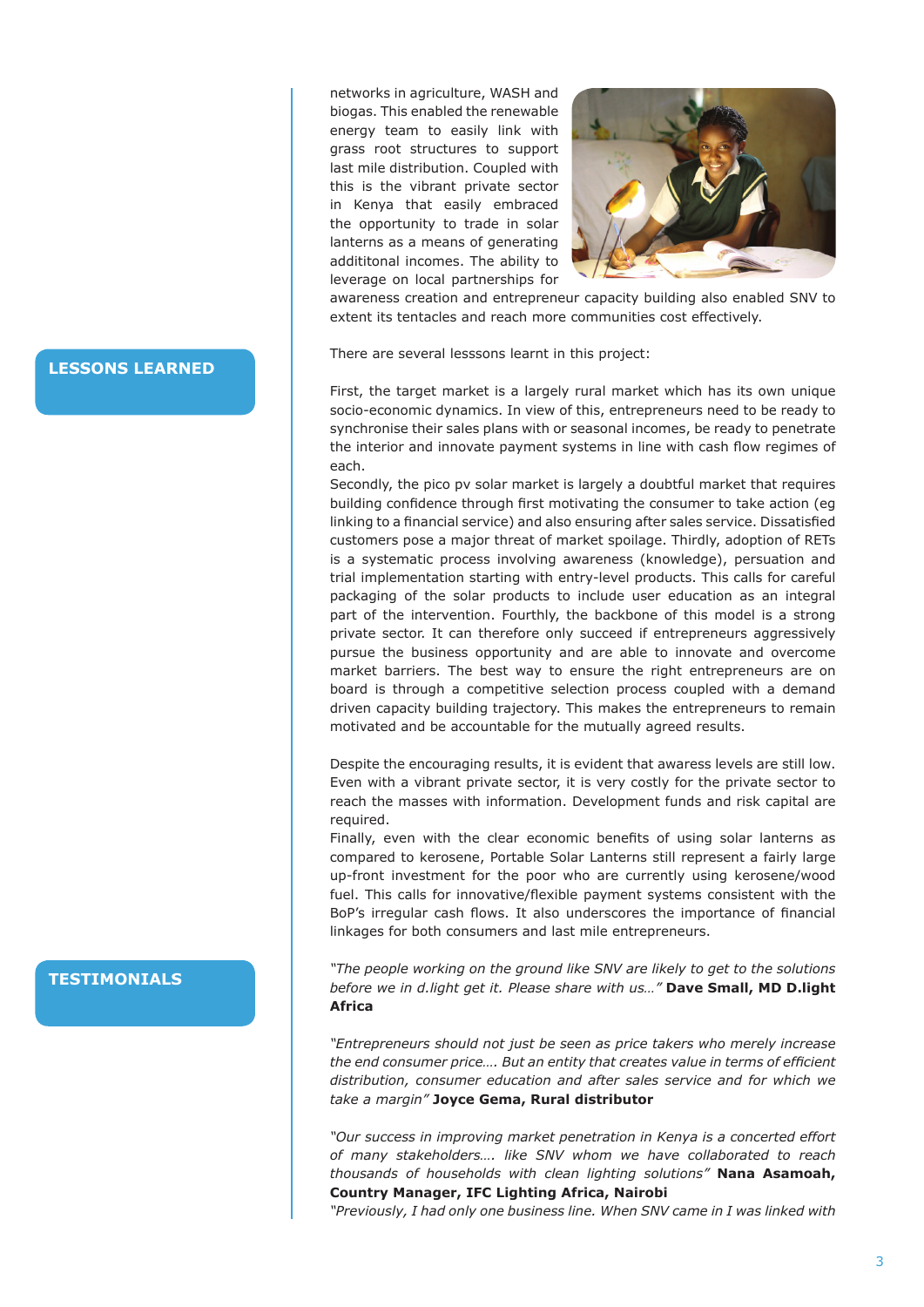networks in agriculture, WASH and biogas. This enabled the renewable energy team to easily link with grass root structures to support last mile distribution. Coupled with this is the vibrant private sector in Kenya that easily embraced the opportunity to trade in solar lanterns as a means of generating addititonal incomes. The ability to leverage on local partnerships for



awareness creation and entrepreneur capacity building also enabled SNV to extent its tentacles and reach more communities cost effectively.

There are several lesssons learnt in this project:

First, the target market is a largely rural market which has its own unique socio-economic dynamics. In view of this, entrepreneurs need to be ready to synchronise their sales plans with or seasonal incomes, be ready to penetrate the interior and innovate payment systems in line with cash flow regimes of each.

Secondly, the pico pv solar market is largely a doubtful market that requires building confidence through first motivating the consumer to take action (eg linking to a financial service) and also ensuring after sales service. Dissatisfied customers pose a major threat of market spoilage. Thirdly, adoption of RETs is a systematic process involving awareness (knowledge), persuation and trial implementation starting with entry-level products. This calls for careful packaging of the solar products to include user education as an integral part of the intervention. Fourthly, the backbone of this model is a strong private sector. It can therefore only succeed if entrepreneurs aggressively pursue the business opportunity and are able to innovate and overcome market barriers. The best way to ensure the right entrepreneurs are on board is through a competitive selection process coupled with a demand driven capacity building trajectory. This makes the entrepreneurs to remain motivated and be accountable for the mutually agreed results.

Despite the encouraging results, it is evident that awaress levels are still low. Even with a vibrant private sector, it is very costly for the private sector to reach the masses with information. Development funds and risk capital are required.

Finally, even with the clear economic benefits of using solar lanterns as compared to kerosene, Portable Solar Lanterns still represent a fairly large up-front investment for the poor who are currently using kerosene/wood fuel. This calls for innovative/flexible payment systems consistent with the BoP's irregular cash flows. It also underscores the importance of financial linkages for both consumers and last mile entrepreneurs.

*"The people working on the ground like SNV are likely to get to the solutions before we in d.light get it. Please share with us…"* **Dave Small, MD D.light Africa**

*"Entrepreneurs should not just be seen as price takers who merely increase the end consumer price…. But an entity that creates value in terms of efficient distribution, consumer education and after sales service and for which we take a margin"* **Joyce Gema, Rural distributor**

*"Our success in improving market penetration in Kenya is a concerted effort of many stakeholders…. like SNV whom we have collaborated to reach thousands of households with clean lighting solutions"* **Nana Asamoah, Country Manager, IFC Lighting Africa, Nairobi** 

*"Previously, I had only one business line. When SNV came in I was linked with* 

#### **LESSONS LEARNED**

# **TESTIMONIALS**